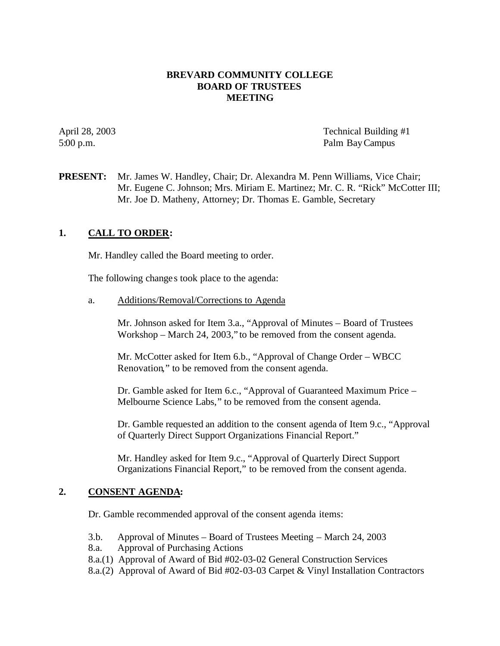## **BREVARD COMMUNITY COLLEGE BOARD OF TRUSTEES MEETING**

April 28, 2003 Technical Building #1 5:00 p.m. Palm Bay Campus

**PRESENT:** Mr. James W. Handley, Chair; Dr. Alexandra M. Penn Williams, Vice Chair; Mr. Eugene C. Johnson; Mrs. Miriam E. Martinez; Mr. C. R. "Rick" McCotter III; Mr. Joe D. Matheny, Attorney; Dr. Thomas E. Gamble, Secretary

# **1. CALL TO ORDER:**

Mr. Handley called the Board meeting to order.

The following change s took place to the agenda:

a. Additions/Removal/Corrections to Agenda

Mr. Johnson asked for Item 3.a., "Approval of Minutes – Board of Trustees Workshop – March 24, 2003," to be removed from the consent agenda.

Mr. McCotter asked for Item 6.b., "Approval of Change Order – WBCC Renovation," to be removed from the consent agenda.

Dr. Gamble asked for Item 6.c., "Approval of Guaranteed Maximum Price – Melbourne Science Labs," to be removed from the consent agenda.

Dr. Gamble requested an addition to the consent agenda of Item 9.c., "Approval of Quarterly Direct Support Organizations Financial Report."

Mr. Handley asked for Item 9.c., "Approval of Quarterly Direct Support Organizations Financial Report," to be removed from the consent agenda.

## **2. CONSENT AGENDA:**

Dr. Gamble recommended approval of the consent agenda items:

- 3.b. Approval of Minutes Board of Trustees Meeting March 24, 2003
- 8.a. Approval of Purchasing Actions
- 8.a.(1) Approval of Award of Bid #02-03-02 General Construction Services
- 8.a.(2) Approval of Award of Bid #02-03-03 Carpet & Vinyl Installation Contractors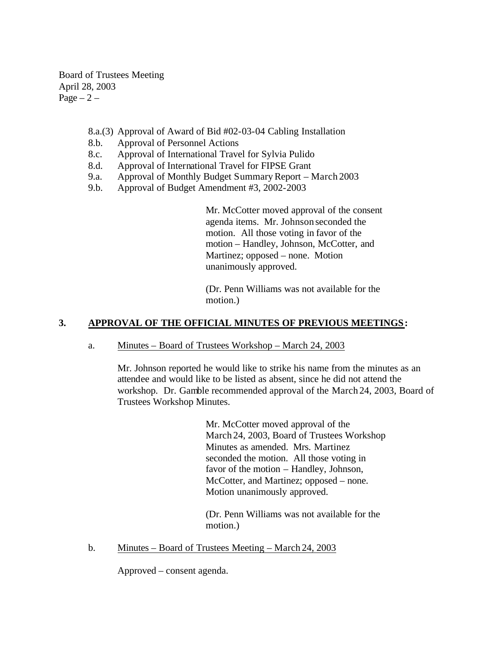Board of Trustees Meeting April 28, 2003 Page  $-2$  –

- 8.a.(3) Approval of Award of Bid #02-03-04 Cabling Installation
- 8.b. Approval of Personnel Actions
- 8.c. Approval of International Travel for Sylvia Pulido
- 8.d. Approval of International Travel for FIPSE Grant
- 9.a. Approval of Monthly Budget Summary Report March 2003
- 9.b. Approval of Budget Amendment #3, 2002-2003

Mr. McCotter moved approval of the consent agenda items. Mr. Johnson seconded the motion. All those voting in favor of the motion – Handley, Johnson, McCotter, and Martinez; opposed – none. Motion unanimously approved.

(Dr. Penn Williams was not available for the motion.)

## **3. APPROVAL OF THE OFFICIAL MINUTES OF PREVIOUS MEETINGS:**

a. Minutes – Board of Trustees Workshop – March 24, 2003

Mr. Johnson reported he would like to strike his name from the minutes as an attendee and would like to be listed as absent, since he did not attend the workshop. Dr. Gamble recommended approval of the March 24, 2003, Board of Trustees Workshop Minutes.

> Mr. McCotter moved approval of the March 24, 2003, Board of Trustees Workshop Minutes as amended. Mrs. Martinez seconded the motion. All those voting in favor of the motion – Handley, Johnson, McCotter, and Martinez; opposed – none. Motion unanimously approved.

(Dr. Penn Williams was not available for the motion.)

b. Minutes – Board of Trustees Meeting – March 24, 2003

Approved – consent agenda.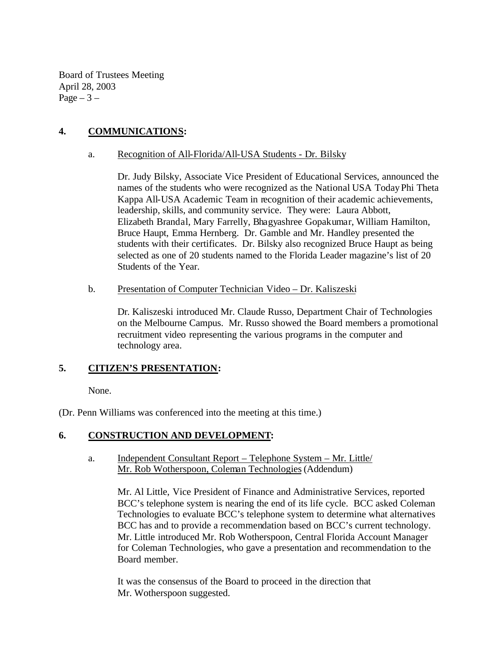Board of Trustees Meeting April 28, 2003 Page  $-3$  –

# **4. COMMUNICATIONS:**

#### a. Recognition of All-Florida/All-USA Students - Dr. Bilsky

Dr. Judy Bilsky, Associate Vice President of Educational Services, announced the names of the students who were recognized as the National USA TodayPhi Theta Kappa All-USA Academic Team in recognition of their academic achievements, leadership, skills, and community service. They were: Laura Abbott, Elizabeth Brandal, Mary Farrelly, Bhagyashree Gopakumar, William Hamilton, Bruce Haupt, Emma Hernberg. Dr. Gamble and Mr. Handley presented the students with their certificates. Dr. Bilsky also recognized Bruce Haupt as being selected as one of 20 students named to the Florida Leader magazine's list of 20 Students of the Year.

#### b. Presentation of Computer Technician Video – Dr. Kaliszeski

Dr. Kaliszeski introduced Mr. Claude Russo, Department Chair of Technologies on the Melbourne Campus. Mr. Russo showed the Board members a promotional recruitment video representing the various programs in the computer and technology area.

# **5. CITIZEN'S PRESENTATION:**

None.

(Dr. Penn Williams was conferenced into the meeting at this time.)

## **6. CONSTRUCTION AND DEVELOPMENT:**

## a. Independent Consultant Report – Telephone System – Mr. Little/ Mr. Rob Wotherspoon, Coleman Technologies (Addendum)

Mr. Al Little, Vice President of Finance and Administrative Services, reported BCC's telephone system is nearing the end of its life cycle. BCC asked Coleman Technologies to evaluate BCC's telephone system to determine what alternatives BCC has and to provide a recommendation based on BCC's current technology. Mr. Little introduced Mr. Rob Wotherspoon, Central Florida Account Manager for Coleman Technologies, who gave a presentation and recommendation to the Board member.

It was the consensus of the Board to proceed in the direction that Mr. Wotherspoon suggested.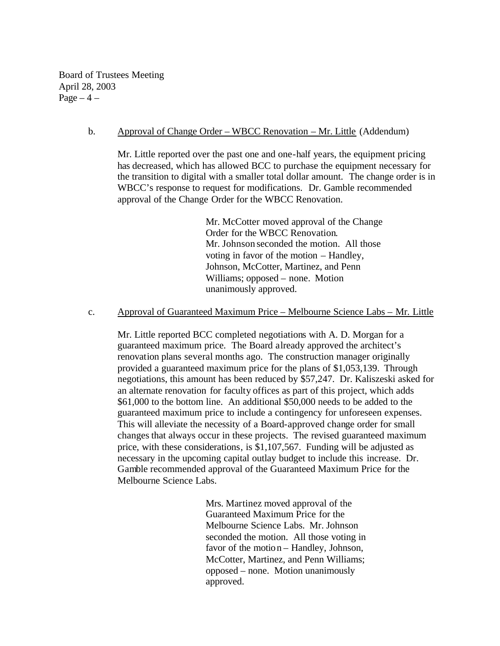Board of Trustees Meeting April 28, 2003  $Page-4$  –

#### b. Approval of Change Order – WBCC Renovation – Mr. Little (Addendum)

Mr. Little reported over the past one and one-half years, the equipment pricing has decreased, which has allowed BCC to purchase the equipment necessary for the transition to digital with a smaller total dollar amount. The change order is in WBCC's response to request for modifications. Dr. Gamble recommended approval of the Change Order for the WBCC Renovation.

> Mr. McCotter moved approval of the Change Order for the WBCC Renovation. Mr. Johnson seconded the motion. All those voting in favor of the motion – Handley, Johnson, McCotter, Martinez, and Penn Williams; opposed – none. Motion unanimously approved.

## c. Approval of Guaranteed Maximum Price – Melbourne Science Labs – Mr. Little

Mr. Little reported BCC completed negotiations with A. D. Morgan for a guaranteed maximum price. The Board already approved the architect's renovation plans several months ago. The construction manager originally provided a guaranteed maximum price for the plans of \$1,053,139. Through negotiations, this amount has been reduced by \$57,247. Dr. Kaliszeski asked for an alternate renovation for faculty offices as part of this project, which adds \$61,000 to the bottom line. An additional \$50,000 needs to be added to the guaranteed maximum price to include a contingency for unforeseen expenses. This will alleviate the necessity of a Board-approved change order for small changes that always occur in these projects. The revised guaranteed maximum price, with these considerations, is \$1,107,567. Funding will be adjusted as necessary in the upcoming capital outlay budget to include this increase. Dr. Gamble recommended approval of the Guaranteed Maximum Price for the Melbourne Science Labs.

> Mrs. Martinez moved approval of the Guaranteed Maximum Price for the Melbourne Science Labs. Mr. Johnson seconded the motion. All those voting in favor of the motion – Handley, Johnson, McCotter, Martinez, and Penn Williams; opposed – none. Motion unanimously approved.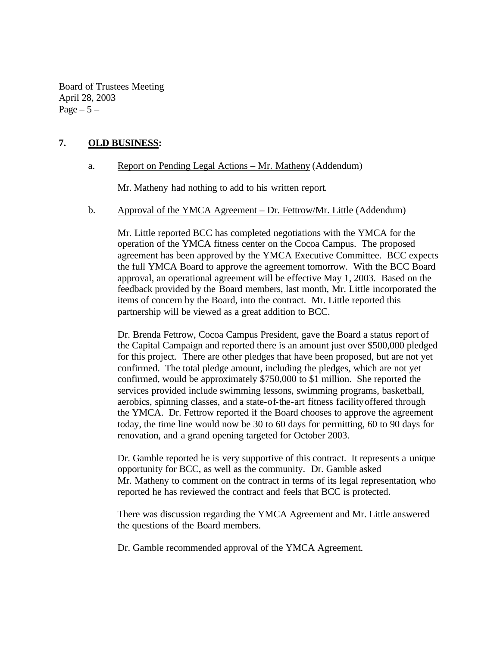Board of Trustees Meeting April 28, 2003 Page  $-5-$ 

# **7. OLD BUSINESS:**

## a. Report on Pending Legal Actions – Mr. Matheny (Addendum)

Mr. Matheny had nothing to add to his written report.

#### b. Approval of the YMCA Agreement – Dr. Fettrow/Mr. Little (Addendum)

Mr. Little reported BCC has completed negotiations with the YMCA for the operation of the YMCA fitness center on the Cocoa Campus. The proposed agreement has been approved by the YMCA Executive Committee. BCC expects the full YMCA Board to approve the agreement tomorrow. With the BCC Board approval, an operational agreement will be effective May 1, 2003. Based on the feedback provided by the Board members, last month, Mr. Little incorporated the items of concern by the Board, into the contract. Mr. Little reported this partnership will be viewed as a great addition to BCC.

Dr. Brenda Fettrow, Cocoa Campus President, gave the Board a status report of the Capital Campaign and reported there is an amount just over \$500,000 pledged for this project. There are other pledges that have been proposed, but are not yet confirmed. The total pledge amount, including the pledges, which are not yet confirmed, would be approximately \$750,000 to \$1 million. She reported the services provided include swimming lessons, swimming programs, basketball, aerobics, spinning classes, and a state-of-the-art fitness facility offered through the YMCA. Dr. Fettrow reported if the Board chooses to approve the agreement today, the time line would now be 30 to 60 days for permitting, 60 to 90 days for renovation, and a grand opening targeted for October 2003.

Dr. Gamble reported he is very supportive of this contract. It represents a unique opportunity for BCC, as well as the community. Dr. Gamble asked Mr. Matheny to comment on the contract in terms of its legal representation, who reported he has reviewed the contract and feels that BCC is protected.

There was discussion regarding the YMCA Agreement and Mr. Little answered the questions of the Board members.

Dr. Gamble recommended approval of the YMCA Agreement.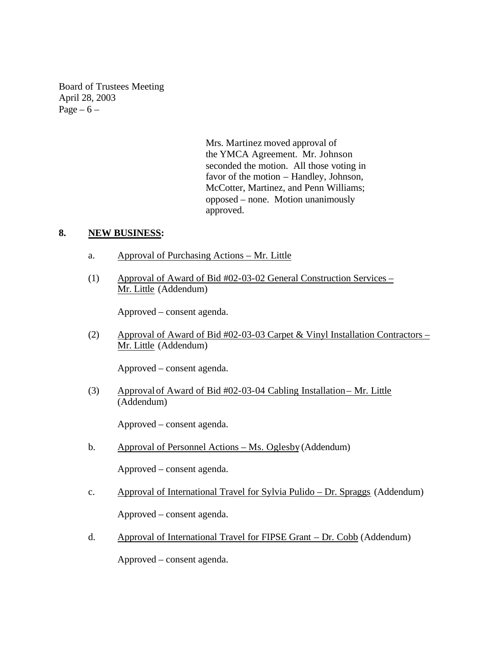Board of Trustees Meeting April 28, 2003 Page  $-6$  –

> Mrs. Martinez moved approval of the YMCA Agreement. Mr. Johnson seconded the motion. All those voting in favor of the motion – Handley, Johnson, McCotter, Martinez, and Penn Williams; opposed – none. Motion unanimously approved.

## **8. NEW BUSINESS:**

- a. Approval of Purchasing Actions Mr. Little
- (1) Approval of Award of Bid #02-03-02 General Construction Services Mr. Little (Addendum)

Approved – consent agenda.

(2) Approval of Award of Bid #02-03-03 Carpet & Vinyl Installation Contractors – Mr. Little (Addendum)

Approved – consent agenda.

(3) Approval of Award of Bid #02-03-04 Cabling Installation– Mr. Little (Addendum)

Approved – consent agenda.

b. Approval of Personnel Actions – Ms. Oglesby (Addendum)

Approved – consent agenda.

c. Approval of International Travel for Sylvia Pulido – Dr. Spraggs (Addendum)

Approved – consent agenda.

d. Approval of International Travel for FIPSE Grant – Dr. Cobb (Addendum)

Approved – consent agenda.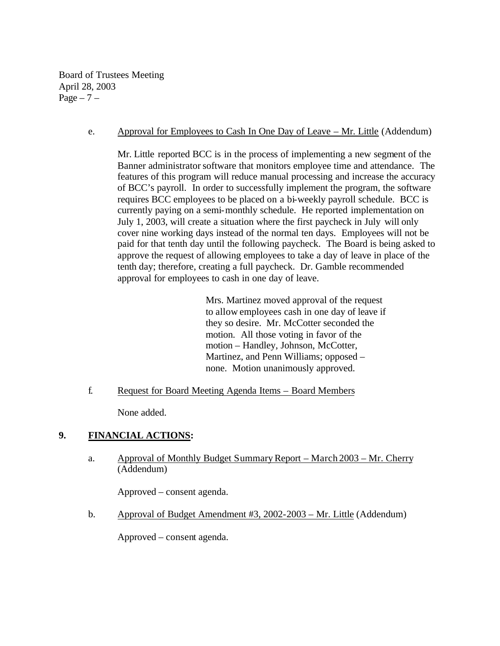Board of Trustees Meeting April 28, 2003 Page  $-7$  –

## e. Approval for Employees to Cash In One Day of Leave – Mr. Little (Addendum)

Mr. Little reported BCC is in the process of implementing a new segment of the Banner administrator software that monitors employee time and attendance. The features of this program will reduce manual processing and increase the accuracy of BCC's payroll. In order to successfully implement the program, the software requires BCC employees to be placed on a bi-weekly payroll schedule. BCC is currently paying on a semi-monthly schedule. He reported implementation on July 1, 2003, will create a situation where the first paycheck in July will only cover nine working days instead of the normal ten days. Employees will not be paid for that tenth day until the following paycheck. The Board is being asked to approve the request of allowing employees to take a day of leave in place of the tenth day; therefore, creating a full paycheck. Dr. Gamble recommended approval for employees to cash in one day of leave.

> Mrs. Martinez moved approval of the request to allow employees cash in one day of leave if they so desire. Mr. McCotter seconded the motion. All those voting in favor of the motion – Handley, Johnson, McCotter, Martinez, and Penn Williams; opposed – none. Motion unanimously approved.

f. Request for Board Meeting Agenda Items – Board Members

None added.

# **9. FINANCIAL ACTIONS:**

a. Approval of Monthly Budget Summary Report – March 2003 – Mr. Cherry (Addendum)

Approved – consent agenda.

b. Approval of Budget Amendment #3, 2002-2003 – Mr. Little (Addendum)

Approved – consent agenda.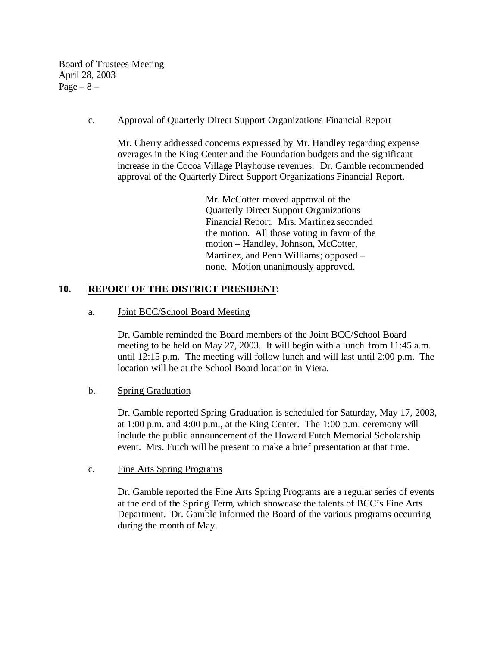Board of Trustees Meeting April 28, 2003 Page  $-8$  –

#### c. Approval of Quarterly Direct Support Organizations Financial Report

Mr. Cherry addressed concerns expressed by Mr. Handley regarding expense overages in the King Center and the Foundation budgets and the significant increase in the Cocoa Village Playhouse revenues. Dr. Gamble recommended approval of the Quarterly Direct Support Organizations Financial Report.

> Mr. McCotter moved approval of the Quarterly Direct Support Organizations Financial Report. Mrs. Martinez seconded the motion. All those voting in favor of the motion – Handley, Johnson, McCotter, Martinez, and Penn Williams; opposed – none. Motion unanimously approved.

# **10. REPORT OF THE DISTRICT PRESIDENT:**

## a. Joint BCC/School Board Meeting

Dr. Gamble reminded the Board members of the Joint BCC/School Board meeting to be held on May 27, 2003. It will begin with a lunch from 11:45 a.m. until 12:15 p.m. The meeting will follow lunch and will last until 2:00 p.m. The location will be at the School Board location in Viera.

## b. Spring Graduation

Dr. Gamble reported Spring Graduation is scheduled for Saturday, May 17, 2003, at 1:00 p.m. and 4:00 p.m., at the King Center. The 1:00 p.m. ceremony will include the public announcement of the Howard Futch Memorial Scholarship event. Mrs. Futch will be present to make a brief presentation at that time.

#### c. Fine Arts Spring Programs

Dr. Gamble reported the Fine Arts Spring Programs are a regular series of events at the end of the Spring Term, which showcase the talents of BCC's Fine Arts Department. Dr. Gamble informed the Board of the various programs occurring during the month of May.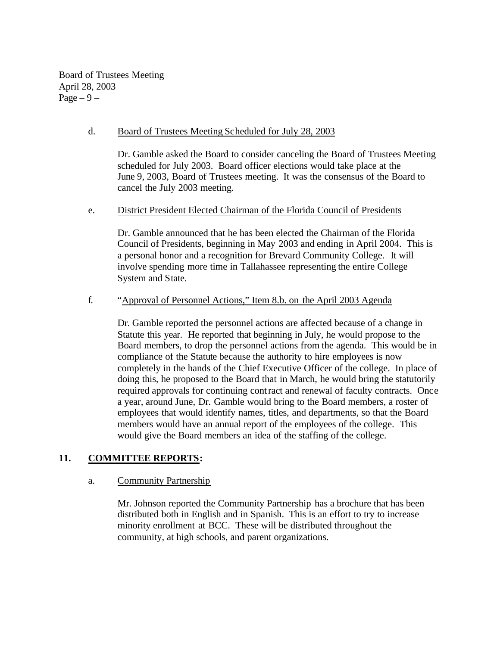Board of Trustees Meeting April 28, 2003 Page  $-9-$ 

#### d. Board of Trustees Meeting Scheduled for July 28, 2003

Dr. Gamble asked the Board to consider canceling the Board of Trustees Meeting scheduled for July 2003. Board officer elections would take place at the June 9, 2003, Board of Trustees meeting. It was the consensus of the Board to cancel the July 2003 meeting.

#### e. District President Elected Chairman of the Florida Council of Presidents

Dr. Gamble announced that he has been elected the Chairman of the Florida Council of Presidents, beginning in May 2003 and ending in April 2004. This is a personal honor and a recognition for Brevard Community College. It will involve spending more time in Tallahassee representing the entire College System and State.

#### f. "Approval of Personnel Actions," Item 8.b. on the April 2003 Agenda

Dr. Gamble reported the personnel actions are affected because of a change in Statute this year. He reported that beginning in July, he would propose to the Board members, to drop the personnel actions from the agenda. This would be in compliance of the Statute because the authority to hire employees is now completely in the hands of the Chief Executive Officer of the college. In place of doing this, he proposed to the Board that in March, he would bring the statutorily required approvals for continuing contract and renewal of faculty contracts. Once a year, around June, Dr. Gamble would bring to the Board members, a roster of employees that would identify names, titles, and departments, so that the Board members would have an annual report of the employees of the college. This would give the Board members an idea of the staffing of the college.

## **11. COMMITTEE REPORTS:**

## a. Community Partnership

Mr. Johnson reported the Community Partnership has a brochure that has been distributed both in English and in Spanish. This is an effort to try to increase minority enrollment at BCC. These will be distributed throughout the community, at high schools, and parent organizations.